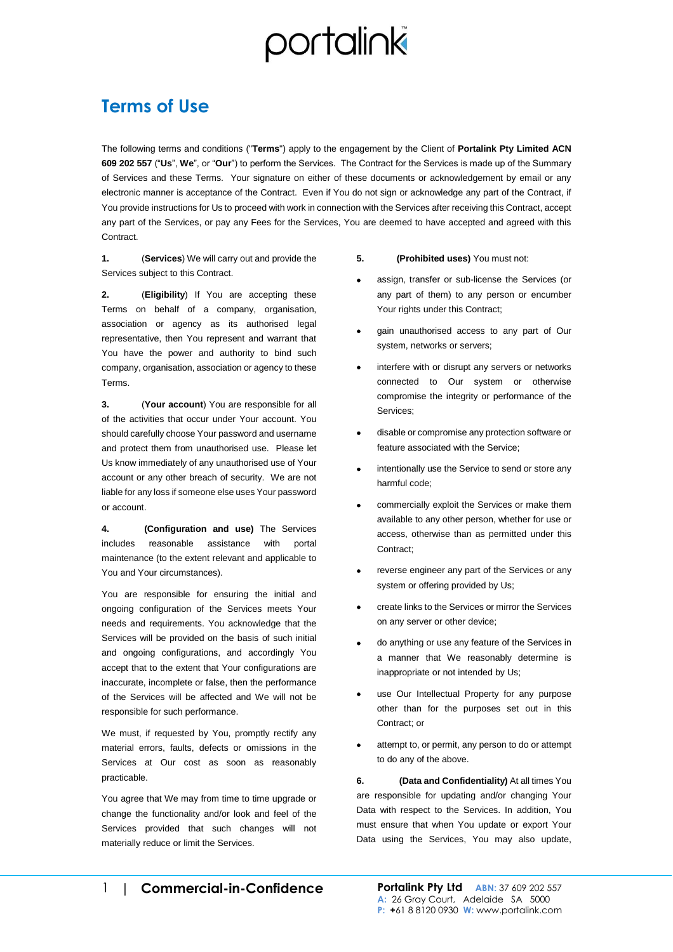#### **Terms of Use**

The following terms and conditions ("**Terms**") apply to the engagement by the Client of **Portalink Pty Limited ACN 609 202 557** ("**Us**", **We**", or "**Our**") to perform the Services. The Contract for the Services is made up of the Summary of Services and these Terms. Your signature on either of these documents or acknowledgement by email or any electronic manner is acceptance of the Contract. Even if You do not sign or acknowledge any part of the Contract, if You provide instructions for Us to proceed with work in connection with the Services after receiving this Contract, accept any part of the Services, or pay any Fees for the Services, You are deemed to have accepted and agreed with this Contract.

**1.** (**Services**) We will carry out and provide the Services subject to this Contract.

**2.** (**Eligibility**) If You are accepting these Terms on behalf of a company, organisation, association or agency as its authorised legal representative, then You represent and warrant that You have the power and authority to bind such company, organisation, association or agency to these Terms.

**3.** (**Your account**) You are responsible for all of the activities that occur under Your account. You should carefully choose Your password and username and protect them from unauthorised use. Please let Us know immediately of any unauthorised use of Your account or any other breach of security. We are not liable for any loss if someone else uses Your password or account.

**4. (Configuration and use)** The Services includes reasonable assistance with portal maintenance (to the extent relevant and applicable to You and Your circumstances).

You are responsible for ensuring the initial and ongoing configuration of the Services meets Your needs and requirements. You acknowledge that the Services will be provided on the basis of such initial and ongoing configurations, and accordingly You accept that to the extent that Your configurations are inaccurate, incomplete or false, then the performance of the Services will be affected and We will not be responsible for such performance.

We must, if requested by You, promptly rectify any material errors, faults, defects or omissions in the Services at Our cost as soon as reasonably practicable.

You agree that We may from time to time upgrade or change the functionality and/or look and feel of the Services provided that such changes will not materially reduce or limit the Services.

#### **5. (Prohibited uses)** You must not:

- assign, transfer or sub-license the Services (or any part of them) to any person or encumber Your rights under this Contract;
- gain unauthorised access to any part of Our system, networks or servers;
- interfere with or disrupt any servers or networks connected to Our system or otherwise compromise the integrity or performance of the Services;
- disable or compromise any protection software or feature associated with the Service;
- intentionally use the Service to send or store any harmful code;
- commercially exploit the Services or make them available to any other person, whether for use or access, otherwise than as permitted under this Contract;
- reverse engineer any part of the Services or any system or offering provided by Us;
- create links to the Services or mirror the Services on any server or other device;
- do anything or use any feature of the Services in a manner that We reasonably determine is inappropriate or not intended by Us;
- use Our Intellectual Property for any purpose other than for the purposes set out in this Contract; or
- attempt to, or permit, any person to do or attempt to do any of the above.

**6. (Data and Confidentiality)** At all times You are responsible for updating and/or changing Your Data with respect to the Services. In addition, You must ensure that when You update or export Your Data using the Services, You may also update,

1| **Commercial-in-Confidence Portalink Pty Ltd ABN:** 37 609 202 557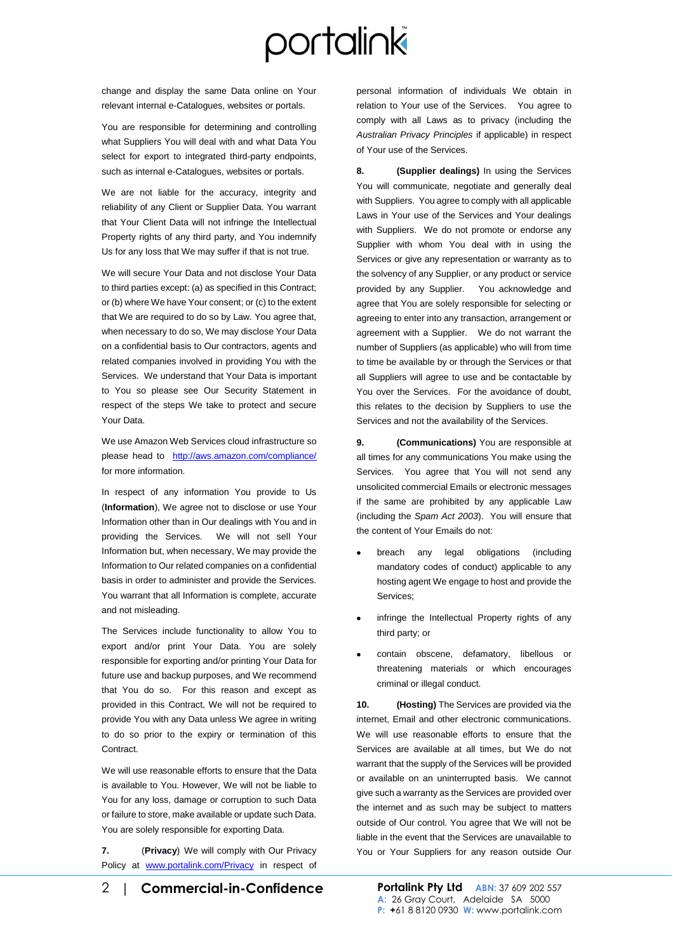change and display the same Data online on Your relevant internal e-Catalogues, websites or portals.

You are responsible for determining and controlling what Suppliers You will deal with and what Data You select for export to integrated third-party endpoints, such as internal e-Catalogues, websites or portals.

We are not liable for the accuracy, integrity and reliability of any Client or Supplier Data. You warrant that Your Client Data will not infringe the Intellectual Property rights of any third party, and You indemnify Us for any loss that We may suffer if that is not true.

We will secure Your Data and not disclose Your Data to third parties except: (a) as specified in this Contract; or (b) where We have Your consent; or (c) to the extent that We are required to do so by Law. You agree that, when necessary to do so, We may disclose Your Data on a confidential basis to Our contractors, agents and related companies involved in providing You with the Services. We understand that Your Data is important to You so please see Our Security Statement in respect of the steps We take to protect and secure Your Data.

We use Amazon Web Services cloud infrastructure so please head to <http://aws.amazon.com/compliance/> for more information.

In respect of any information You provide to Us (**Information**), We agree not to disclose or use Your Information other than in Our dealings with You and in providing the Services. We will not sell Your Information but, when necessary, We may provide the Information to Our related companies on a confidential basis in order to administer and provide the Services. You warrant that all Information is complete, accurate and not misleading.

The Services include functionality to allow You to export and/or print Your Data. You are solely responsible for exporting and/or printing Your Data for future use and backup purposes, and We recommend that You do so. For this reason and except as provided in this Contract, We will not be required to provide You with any Data unless We agree in writing to do so prior to the expiry or termination of this Contract.

We will use reasonable efforts to ensure that the Data is available to You. However, We will not be liable to You for any loss, damage or corruption to such Data or failure to store, make available or update such Data. You are solely responsible for exporting Data.

**7.** (**Privacy**) We will comply with Our Privacy Policy at [www.portalink.com/Privacy](http://www.portalink.com/Privacy) in respect of personal information of individuals We obtain in relation to Your use of the Services. You agree to comply with all Laws as to privacy (including the *Australian Privacy Principles* if applicable) in respect of Your use of the Services.

**8. (Supplier dealings)** In using the Services You will communicate, negotiate and generally deal with Suppliers. You agree to comply with all applicable Laws in Your use of the Services and Your dealings with Suppliers. We do not promote or endorse any Supplier with whom You deal with in using the Services or give any representation or warranty as to the solvency of any Supplier, or any product or service provided by any Supplier. You acknowledge and agree that You are solely responsible for selecting or agreeing to enter into any transaction, arrangement or agreement with a Supplier. We do not warrant the number of Suppliers (as applicable) who will from time to time be available by or through the Services or that all Suppliers will agree to use and be contactable by You over the Services. For the avoidance of doubt, this relates to the decision by Suppliers to use the Services and not the availability of the Services.

**9. (Communications)** You are responsible at all times for any communications You make using the Services. You agree that You will not send any unsolicited commercial Emails or electronic messages if the same are prohibited by any applicable Law (including the *Spam Act 2003*). You will ensure that the content of Your Emails do not:

- breach any legal obligations (including mandatory codes of conduct) applicable to any hosting agent We engage to host and provide the Services;
- infringe the Intellectual Property rights of any third party; or
- contain obscene, defamatory, libellous or threatening materials or which encourages criminal or illegal conduct.

**10. (Hosting)** The Services are provided via the internet, Email and other electronic communications. We will use reasonable efforts to ensure that the Services are available at all times, but We do not warrant that the supply of the Services will be provided or available on an uninterrupted basis. We cannot give such a warranty as the Services are provided over the internet and as such may be subject to matters outside of Our control. You agree that We will not be liable in the event that the Services are unavailable to You or Your Suppliers for any reason outside Our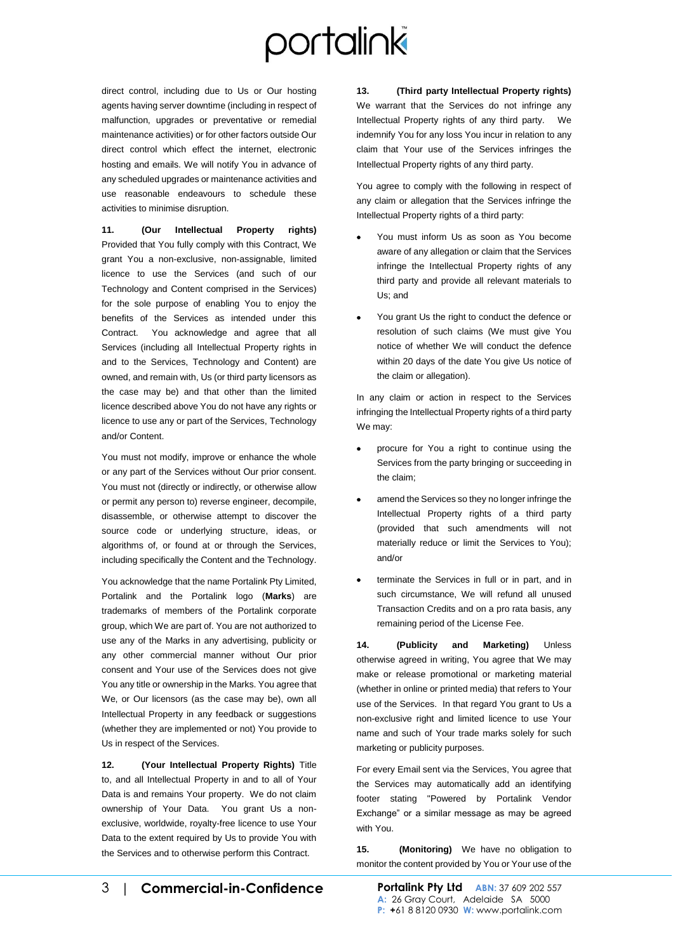direct control, including due to Us or Our hosting agents having server downtime (including in respect of malfunction, upgrades or preventative or remedial maintenance activities) or for other factors outside Our direct control which effect the internet, electronic hosting and emails. We will notify You in advance of any scheduled upgrades or maintenance activities and use reasonable endeavours to schedule these activities to minimise disruption.

**11. (Our Intellectual Property rights)** Provided that You fully comply with this Contract, We grant You a non-exclusive, non-assignable, limited licence to use the Services (and such of our Technology and Content comprised in the Services) for the sole purpose of enabling You to enjoy the benefits of the Services as intended under this Contract. You acknowledge and agree that all Services (including all Intellectual Property rights in and to the Services, Technology and Content) are owned, and remain with, Us (or third party licensors as the case may be) and that other than the limited licence described above You do not have any rights or licence to use any or part of the Services, Technology and/or Content.

You must not modify, improve or enhance the whole or any part of the Services without Our prior consent. You must not (directly or indirectly, or otherwise allow or permit any person to) reverse engineer, decompile, disassemble, or otherwise attempt to discover the source code or underlying structure, ideas, or algorithms of, or found at or through the Services, including specifically the Content and the Technology.

You acknowledge that the name Portalink Pty Limited, Portalink and the Portalink logo (**Marks**) are trademarks of members of the Portalink corporate group, which We are part of. You are not authorized to use any of the Marks in any advertising, publicity or any other commercial manner without Our prior consent and Your use of the Services does not give You any title or ownership in the Marks. You agree that We, or Our licensors (as the case may be), own all Intellectual Property in any feedback or suggestions (whether they are implemented or not) You provide to Us in respect of the Services.

**12. (Your Intellectual Property Rights)** Title to, and all Intellectual Property in and to all of Your Data is and remains Your property. We do not claim ownership of Your Data. You grant Us a nonexclusive, worldwide, royalty-free licence to use Your Data to the extent required by Us to provide You with the Services and to otherwise perform this Contract.

**13. (Third party Intellectual Property rights)** We warrant that the Services do not infringe any Intellectual Property rights of any third party. We indemnify You for any loss You incur in relation to any claim that Your use of the Services infringes the Intellectual Property rights of any third party.

You agree to comply with the following in respect of any claim or allegation that the Services infringe the Intellectual Property rights of a third party:

- You must inform Us as soon as You become aware of any allegation or claim that the Services infringe the Intellectual Property rights of any third party and provide all relevant materials to Us; and
- You grant Us the right to conduct the defence or resolution of such claims (We must give You notice of whether We will conduct the defence within 20 days of the date You give Us notice of the claim or allegation).

In any claim or action in respect to the Services infringing the Intellectual Property rights of a third party We may:

- procure for You a right to continue using the Services from the party bringing or succeeding in the claim;
- amend the Services so they no longer infringe the Intellectual Property rights of a third party (provided that such amendments will not materially reduce or limit the Services to You); and/or
- terminate the Services in full or in part, and in such circumstance, We will refund all unused Transaction Credits and on a pro rata basis, any remaining period of the License Fee.

**14. (Publicity and Marketing)** Unless otherwise agreed in writing, You agree that We may make or release promotional or marketing material (whether in online or printed media) that refers to Your use of the Services. In that regard You grant to Us a non-exclusive right and limited licence to use Your name and such of Your trade marks solely for such marketing or publicity purposes.

For every Email sent via the Services, You agree that the Services may automatically add an identifying footer stating "Powered by Portalink Vendor Exchange" or a similar message as may be agreed with You.

**15. (Monitoring)** We have no obligation to monitor the content provided by You or Your use of the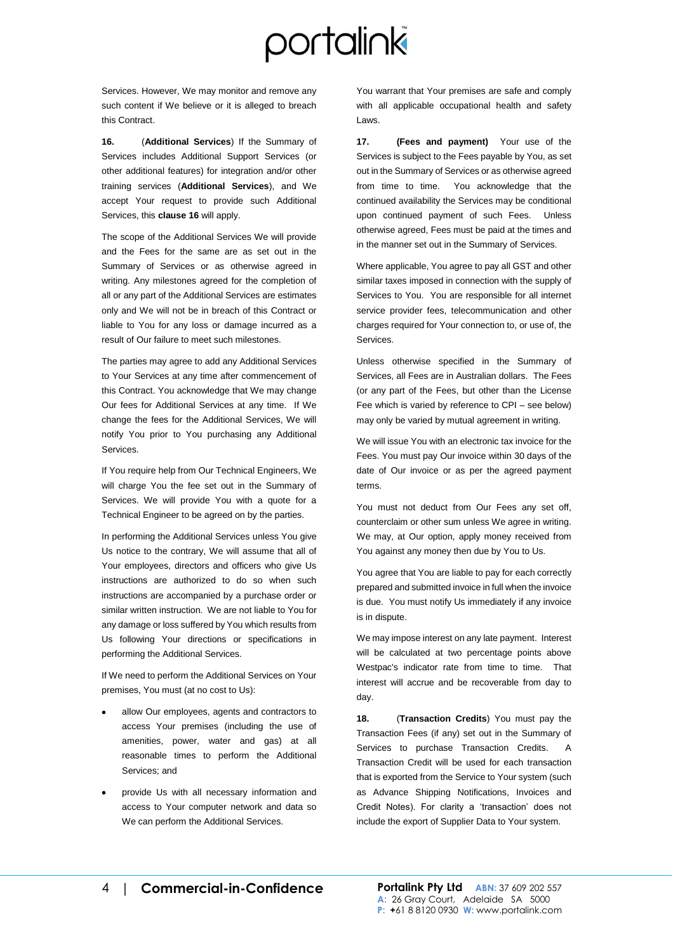Services. However, We may monitor and remove any such content if We believe or it is alleged to breach this Contract.

<span id="page-3-0"></span>**16.** (**Additional Services**) If the Summary of Services includes Additional Support Services (or other additional features) for integration and/or other training services (**Additional Services**), and We accept Your request to provide such Additional Services, this **clause [16](#page-3-0)** will apply.

The scope of the Additional Services We will provide and the Fees for the same are as set out in the Summary of Services or as otherwise agreed in writing. Any milestones agreed for the completion of all or any part of the Additional Services are estimates only and We will not be in breach of this Contract or liable to You for any loss or damage incurred as a result of Our failure to meet such milestones.

The parties may agree to add any Additional Services to Your Services at any time after commencement of this Contract. You acknowledge that We may change Our fees for Additional Services at any time. If We change the fees for the Additional Services, We will notify You prior to You purchasing any Additional Services.

If You require help from Our Technical Engineers, We will charge You the fee set out in the Summary of Services. We will provide You with a quote for a Technical Engineer to be agreed on by the parties.

In performing the Additional Services unless You give Us notice to the contrary, We will assume that all of Your employees, directors and officers who give Us instructions are authorized to do so when such instructions are accompanied by a purchase order or similar written instruction. We are not liable to You for any damage or loss suffered by You which results from Us following Your directions or specifications in performing the Additional Services.

If We need to perform the Additional Services on Your premises, You must (at no cost to Us):

- allow Our employees, agents and contractors to access Your premises (including the use of amenities, power, water and gas) at all reasonable times to perform the Additional Services; and
- provide Us with all necessary information and access to Your computer network and data so We can perform the Additional Services.

You warrant that Your premises are safe and comply with all applicable occupational health and safety Laws.

**17. (Fees and payment)** Your use of the Services is subject to the Fees payable by You, as set out in the Summary of Services or as otherwise agreed from time to time. You acknowledge that the continued availability the Services may be conditional upon continued payment of such Fees. Unless otherwise agreed, Fees must be paid at the times and in the manner set out in the Summary of Services.

Where applicable, You agree to pay all GST and other similar taxes imposed in connection with the supply of Services to You. You are responsible for all internet service provider fees, telecommunication and other charges required for Your connection to, or use of, the Services.

Unless otherwise specified in the Summary of Services, all Fees are in Australian dollars. The Fees (or any part of the Fees, but other than the License Fee which is varied by reference to CPI – see below) may only be varied by mutual agreement in writing.

We will issue You with an electronic tax invoice for the Fees. You must pay Our invoice within 30 days of the date of Our invoice or as per the agreed payment terms.

You must not deduct from Our Fees any set off, counterclaim or other sum unless We agree in writing. We may, at Our option, apply money received from You against any money then due by You to Us.

You agree that You are liable to pay for each correctly prepared and submitted invoice in full when the invoice is due. You must notify Us immediately if any invoice is in dispute.

We may impose interest on any late payment. Interest will be calculated at two percentage points above Westpac's indicator rate from time to time. That interest will accrue and be recoverable from day to day.

**18.** (**Transaction Credits**) You must pay the Transaction Fees (if any) set out in the Summary of Services to purchase Transaction Credits. Transaction Credit will be used for each transaction that is exported from the Service to Your system (such as Advance Shipping Notifications, Invoices and Credit Notes). For clarity a 'transaction' does not include the export of Supplier Data to Your system.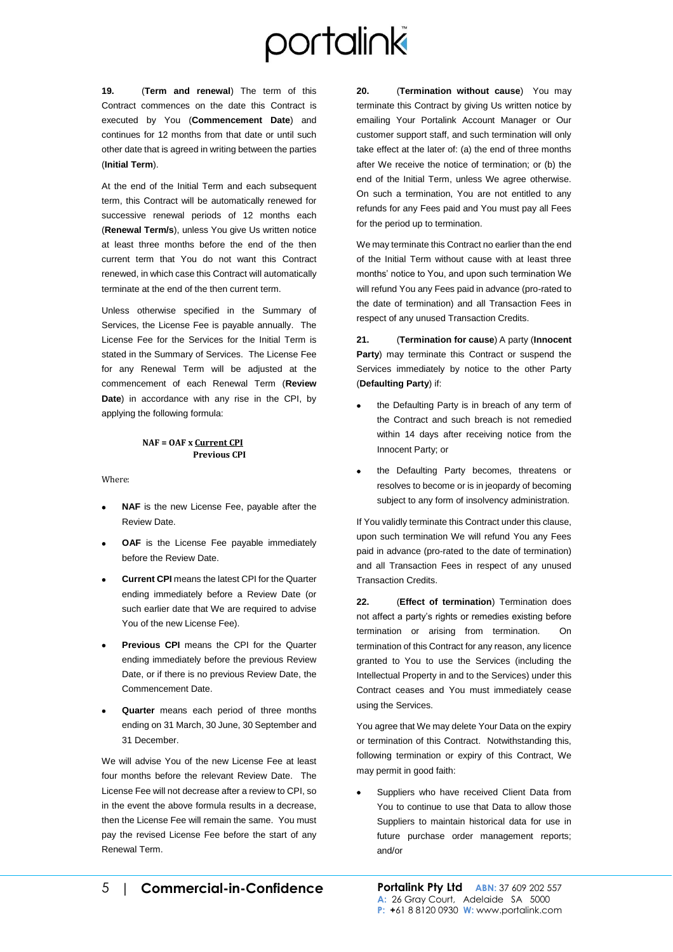**19.** (**Term and renewal**) The term of this Contract commences on the date this Contract is executed by You (**Commencement Date**) and continues for 12 months from that date or until such other date that is agreed in writing between the parties (**Initial Term**).

At the end of the Initial Term and each subsequent term, this Contract will be automatically renewed for successive renewal periods of 12 months each (**Renewal Term/s**), unless You give Us written notice at least three months before the end of the then current term that You do not want this Contract renewed, in which case this Contract will automatically terminate at the end of the then current term.

Unless otherwise specified in the Summary of Services, the License Fee is payable annually. The License Fee for the Services for the Initial Term is stated in the Summary of Services. The License Fee for any Renewal Term will be adjusted at the commencement of each Renewal Term (**Review Date**) in accordance with any rise in the CPI, by applying the following formula:

#### **NAF = OAF x Current CPI Previous CPI**

Where:

- **NAF** is the new License Fee, payable after the Review Date.
- **OAF** is the License Fee payable immediately before the Review Date.
- **Current CPI** means the latest CPI for the Quarter ending immediately before a Review Date (or such earlier date that We are required to advise You of the new License Fee).
- **Previous CPI** means the CPI for the Quarter ending immediately before the previous Review Date, or if there is no previous Review Date, the Commencement Date.
- **Quarter** means each period of three months ending on 31 March, 30 June, 30 September and 31 December.

We will advise You of the new License Fee at least four months before the relevant Review Date. The License Fee will not decrease after a review to CPI, so in the event the above formula results in a decrease, then the License Fee will remain the same. You must pay the revised License Fee before the start of any Renewal Term.

**20.** (**Termination without cause**) You may terminate this Contract by giving Us written notice by emailing Your Portalink Account Manager or Our customer support staff, and such termination will only take effect at the later of: (a) the end of three months after We receive the notice of termination; or (b) the end of the Initial Term, unless We agree otherwise. On such a termination, You are not entitled to any refunds for any Fees paid and You must pay all Fees for the period up to termination.

We may terminate this Contract no earlier than the end of the Initial Term without cause with at least three months' notice to You, and upon such termination We will refund You any Fees paid in advance (pro-rated to the date of termination) and all Transaction Fees in respect of any unused Transaction Credits.

**21.** (**Termination for cause**) A party (**Innocent Party**) may terminate this Contract or suspend the Services immediately by notice to the other Party (**Defaulting Party**) if:

- the Defaulting Party is in breach of any term of the Contract and such breach is not remedied within 14 days after receiving notice from the Innocent Party; or
- the Defaulting Party becomes, threatens or resolves to become or is in jeopardy of becoming subject to any form of insolvency administration.

If You validly terminate this Contract under this clause, upon such termination We will refund You any Fees paid in advance (pro-rated to the date of termination) and all Transaction Fees in respect of any unused Transaction Credits.

**22.** (**Effect of termination**) Termination does not affect a party's rights or remedies existing before termination or arising from termination. On termination of this Contract for any reason, any licence granted to You to use the Services (including the Intellectual Property in and to the Services) under this Contract ceases and You must immediately cease using the Services.

You agree that We may delete Your Data on the expiry or termination of this Contract. Notwithstanding this, following termination or expiry of this Contract, We may permit in good faith:

Suppliers who have received Client Data from You to continue to use that Data to allow those Suppliers to maintain historical data for use in future purchase order management reports; and/or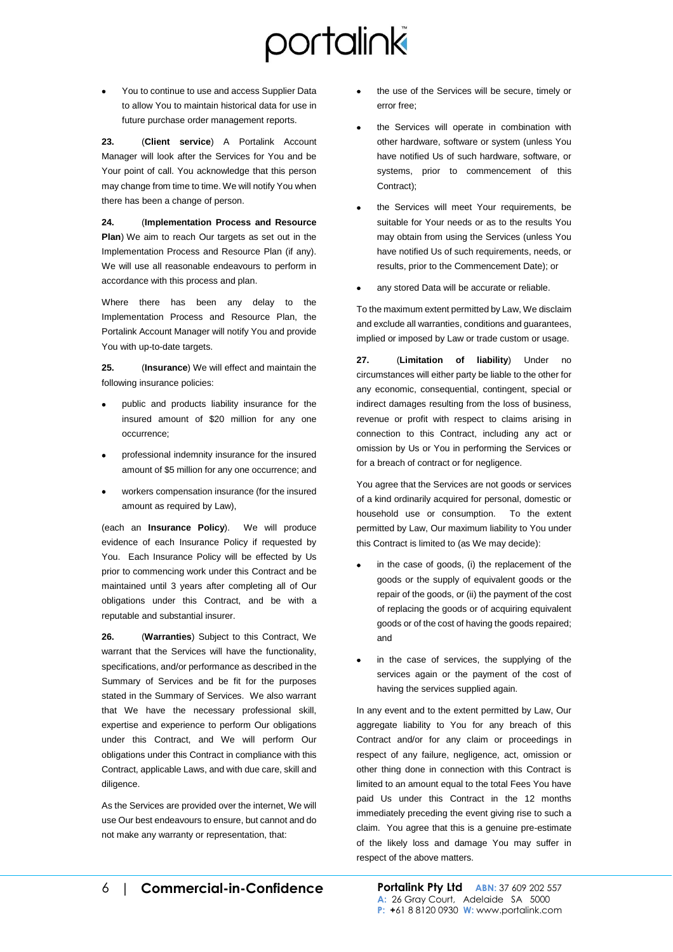• You to continue to use and access Supplier Data to allow You to maintain historical data for use in future purchase order management reports.

**23.** (**Client service**) A Portalink Account Manager will look after the Services for You and be Your point of call. You acknowledge that this person may change from time to time. We will notify You when there has been a change of person.

**24.** (**Implementation Process and Resource Plan**) We aim to reach Our targets as set out in the Implementation Process and Resource Plan (if any). We will use all reasonable endeavours to perform in accordance with this process and plan.

Where there has been any delay to the Implementation Process and Resource Plan, the Portalink Account Manager will notify You and provide You with up-to-date targets.

**25.** (**Insurance**) We will effect and maintain the following insurance policies:

- public and products liability insurance for the insured amount of \$20 million for any one occurrence;
- professional indemnity insurance for the insured amount of \$5 million for any one occurrence; and
- workers compensation insurance (for the insured amount as required by Law),

(each an **Insurance Policy**). We will produce evidence of each Insurance Policy if requested by You. Each Insurance Policy will be effected by Us prior to commencing work under this Contract and be maintained until 3 years after completing all of Our obligations under this Contract, and be with a reputable and substantial insurer.

**26.** (**Warranties**) Subject to this Contract, We warrant that the Services will have the functionality, specifications, and/or performance as described in the Summary of Services and be fit for the purposes stated in the Summary of Services. We also warrant that We have the necessary professional skill, expertise and experience to perform Our obligations under this Contract, and We will perform Our obligations under this Contract in compliance with this Contract, applicable Laws, and with due care, skill and diligence.

As the Services are provided over the internet, We will use Our best endeavours to ensure, but cannot and do not make any warranty or representation, that:

- the use of the Services will be secure, timely or error free;
- the Services will operate in combination with other hardware, software or system (unless You have notified Us of such hardware, software, or systems, prior to commencement of this Contract);
- the Services will meet Your requirements. be suitable for Your needs or as to the results You may obtain from using the Services (unless You have notified Us of such requirements, needs, or results, prior to the Commencement Date); or
- any stored Data will be accurate or reliable.

To the maximum extent permitted by Law, We disclaim and exclude all warranties, conditions and guarantees, implied or imposed by Law or trade custom or usage.

**27.** (**Limitation of liability**) Under no circumstances will either party be liable to the other for any economic, consequential, contingent, special or indirect damages resulting from the loss of business, revenue or profit with respect to claims arising in connection to this Contract, including any act or omission by Us or You in performing the Services or for a breach of contract or for negligence.

You agree that the Services are not goods or services of a kind ordinarily acquired for personal, domestic or household use or consumption. To the extent permitted by Law, Our maximum liability to You under this Contract is limited to (as We may decide):

- in the case of goods, (i) the replacement of the goods or the supply of equivalent goods or the repair of the goods, or (ii) the payment of the cost of replacing the goods or of acquiring equivalent goods or of the cost of having the goods repaired; and
- in the case of services, the supplying of the services again or the payment of the cost of having the services supplied again.

In any event and to the extent permitted by Law, Our aggregate liability to You for any breach of this Contract and/or for any claim or proceedings in respect of any failure, negligence, act, omission or other thing done in connection with this Contract is limited to an amount equal to the total Fees You have paid Us under this Contract in the 12 months immediately preceding the event giving rise to such a claim. You agree that this is a genuine pre-estimate of the likely loss and damage You may suffer in respect of the above matters.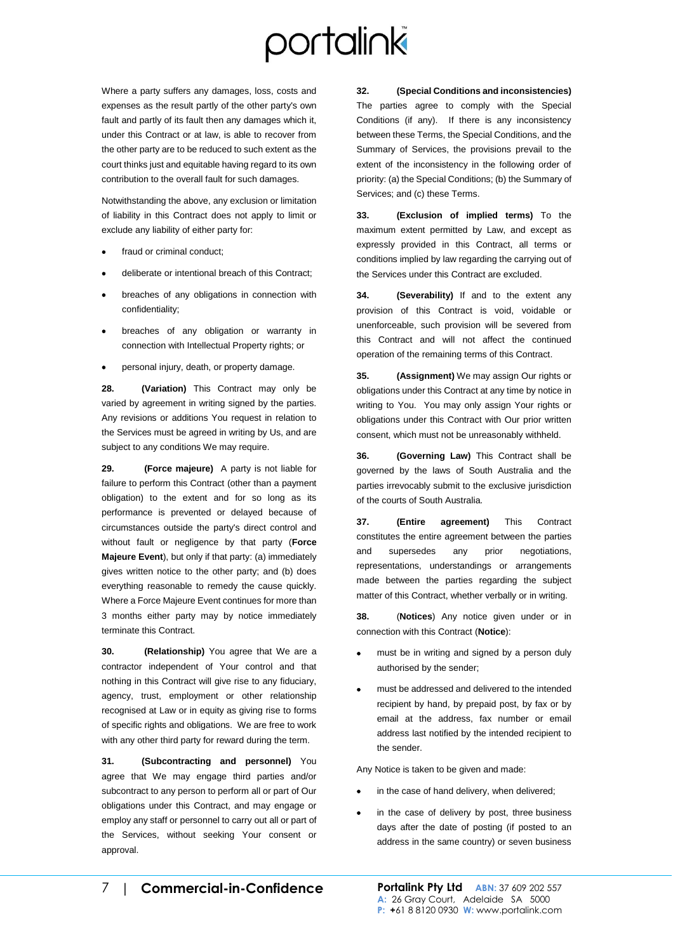Where a party suffers any damages, loss, costs and expenses as the result partly of the other party's own fault and partly of its fault then any damages which it, under this Contract or at law, is able to recover from the other party are to be reduced to such extent as the court thinks just and equitable having regard to its own contribution to the overall fault for such damages.

Notwithstanding the above, any exclusion or limitation of liability in this Contract does not apply to limit or exclude any liability of either party for:

- fraud or criminal conduct;
- deliberate or intentional breach of this Contract;
- breaches of any obligations in connection with confidentiality;
- breaches of any obligation or warranty in connection with Intellectual Property rights; or
- personal injury, death, or property damage.

**28. (Variation)** This Contract may only be varied by agreement in writing signed by the parties. Any revisions or additions You request in relation to the Services must be agreed in writing by Us, and are subject to any conditions We may require.

**29. (Force majeure)** A party is not liable for failure to perform this Contract (other than a payment obligation) to the extent and for so long as its performance is prevented or delayed because of circumstances outside the party's direct control and without fault or negligence by that party (**Force Majeure Event**), but only if that party: (a) immediately gives written notice to the other party; and (b) does everything reasonable to remedy the cause quickly. Where a Force Majeure Event continues for more than 3 months either party may by notice immediately terminate this Contract.

**30. (Relationship)** You agree that We are a contractor independent of Your control and that nothing in this Contract will give rise to any fiduciary, agency, trust, employment or other relationship recognised at Law or in equity as giving rise to forms of specific rights and obligations. We are free to work with any other third party for reward during the term.

**31. (Subcontracting and personnel)** You agree that We may engage third parties and/or subcontract to any person to perform all or part of Our obligations under this Contract, and may engage or employ any staff or personnel to carry out all or part of the Services, without seeking Your consent or approval.

**32. (Special Conditions and inconsistencies)** The parties agree to comply with the Special Conditions (if any). If there is any inconsistency between these Terms, the Special Conditions, and the Summary of Services, the provisions prevail to the extent of the inconsistency in the following order of priority: (a) the Special Conditions; (b) the Summary of Services; and (c) these Terms.

**33. (Exclusion of implied terms)** To the maximum extent permitted by Law, and except as expressly provided in this Contract, all terms or conditions implied by law regarding the carrying out of the Services under this Contract are excluded.

**34. (Severability)** If and to the extent any provision of this Contract is void, voidable or unenforceable, such provision will be severed from this Contract and will not affect the continued operation of the remaining terms of this Contract.

**35. (Assignment)** We may assign Our rights or obligations under this Contract at any time by notice in writing to You. You may only assign Your rights or obligations under this Contract with Our prior written consent, which must not be unreasonably withheld.

**36. (Governing Law)** This Contract shall be governed by the laws of South Australia and the parties irrevocably submit to the exclusive jurisdiction of the courts of South Australia.

**37. (Entire agreement)** This Contract constitutes the entire agreement between the parties and supersedes any prior negotiations, representations, understandings or arrangements made between the parties regarding the subject matter of this Contract, whether verbally or in writing.

**38.** (**Notices**) Any notice given under or in connection with this Contract (**Notice**):

- must be in writing and signed by a person duly authorised by the sender;
- must be addressed and delivered to the intended recipient by hand, by prepaid post, by fax or by email at the address, fax number or email address last notified by the intended recipient to the sender.

Any Notice is taken to be given and made:

- in the case of hand delivery, when delivered;
- in the case of delivery by post, three business days after the date of posting (if posted to an address in the same country) or seven business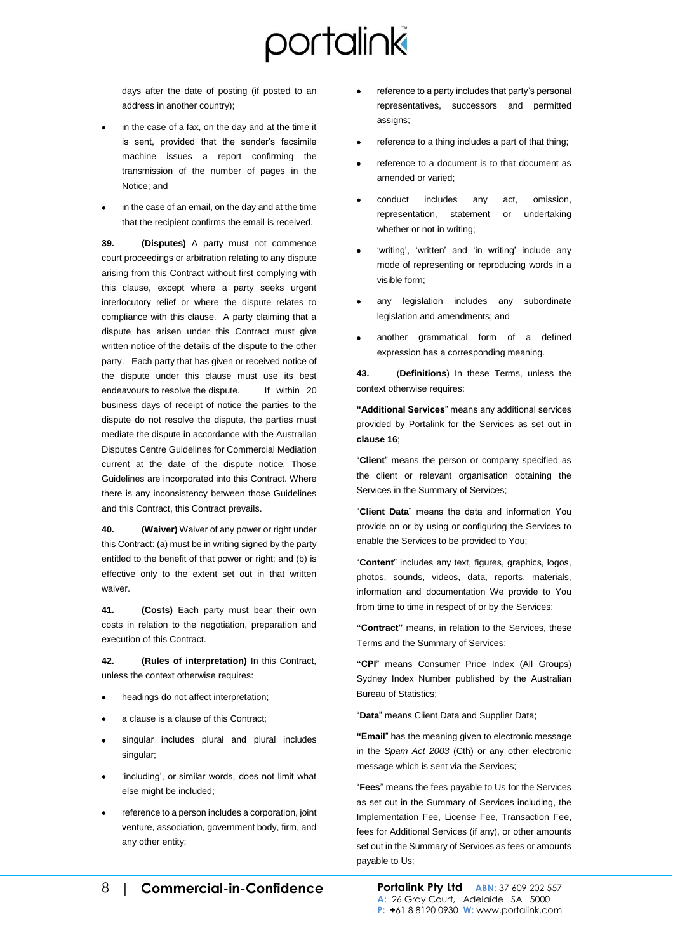days after the date of posting (if posted to an address in another country);

- in the case of a fax, on the day and at the time it is sent, provided that the sender's facsimile machine issues a report confirming the transmission of the number of pages in the Notice; and
- in the case of an email, on the day and at the time that the recipient confirms the email is received.

**39. (Disputes)** A party must not commence court proceedings or arbitration relating to any dispute arising from this Contract without first complying with this clause, except where a party seeks urgent interlocutory relief or where the dispute relates to compliance with this clause. A party claiming that a dispute has arisen under this Contract must give written notice of the details of the dispute to the other party. Each party that has given or received notice of the dispute under this clause must use its best endeavours to resolve the dispute. If within 20 business days of receipt of notice the parties to the dispute do not resolve the dispute, the parties must mediate the dispute in accordance with the Australian Disputes Centre Guidelines for Commercial Mediation current at the date of the dispute notice. Those Guidelines are incorporated into this Contract. Where there is any inconsistency between those Guidelines and this Contract, this Contract prevails.

**40. (Waiver)** Waiver of any power or right under this Contract: (a) must be in writing signed by the party entitled to the benefit of that power or right; and (b) is effective only to the extent set out in that written waiver.

**41. (Costs)** Each party must bear their own costs in relation to the negotiation, preparation and execution of this Contract.

**42. (Rules of interpretation)** In this Contract, unless the context otherwise requires:

- headings do not affect interpretation;
- a clause is a clause of this Contract;
- singular includes plural and plural includes singular;
- 'including', or similar words, does not limit what else might be included;
- reference to a person includes a corporation, joint venture, association, government body, firm, and any other entity;
- reference to a party includes that party's personal representatives, successors and permitted assigns;
- reference to a thing includes a part of that thing;
- reference to a document is to that document as amended or varied;
- conduct includes any act, omission, representation, statement or undertaking whether or not in writing;
- 'writing', 'written' and 'in writing' include any mode of representing or reproducing words in a visible form;
- any legislation includes any subordinate legislation and amendments; and
- another grammatical form of a defined expression has a corresponding meaning.

**43.** (**Definitions**) In these Terms, unless the context otherwise requires:

**"Additional Services**" means any additional services provided by Portalink for the Services as set out in **claus[e 16](#page-3-0)**;

"**Client**" means the person or company specified as the client or relevant organisation obtaining the Services in the Summary of Services;

"**Client Data**" means the data and information You provide on or by using or configuring the Services to enable the Services to be provided to You;

"**Content**" includes any text, figures, graphics, logos, photos, sounds, videos, data, reports, materials, information and documentation We provide to You from time to time in respect of or by the Services;

**"Contract"** means, in relation to the Services, these Terms and the Summary of Services;

**"CPI**" means Consumer Price Index (All Groups) Sydney Index Number published by the Australian Bureau of Statistics;

"**Data**" means Client Data and Supplier Data;

**"Email**" has the meaning given to electronic message in the *Spam Act 2003* (Cth) or any other electronic message which is sent via the Services;

"**Fees**" means the fees payable to Us for the Services as set out in the Summary of Services including, the Implementation Fee, License Fee, Transaction Fee, fees for Additional Services (if any), or other amounts set out in the Summary of Services as fees or amounts payable to Us;